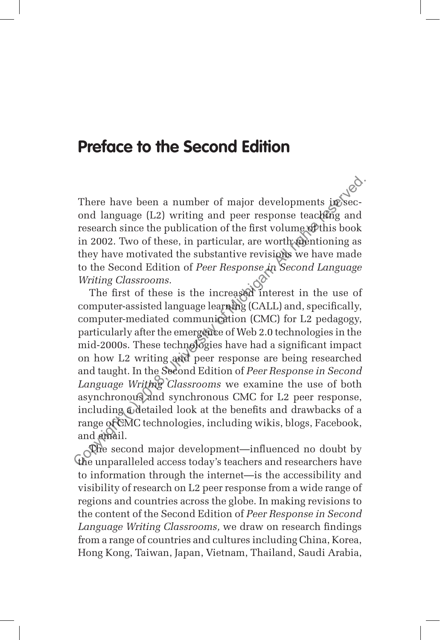## **Preface to the Second Edition**

There have been a number of major developments in second language (L2) writing and peer response teaching and research since the publication of the first volume of this book in 2002. Two of these, in particular, are worth mentioning as they have motivated the substantive revisions we have made to the Second Edition of *Peer Response in Second Language Writing Classrooms.*

The first of these is the increased interest in the use of computer-assisted language learning (CALL) and, specifically, computer-mediated communication (CMC) for L2 pedagogy, particularly after the emergence of Web 2.0 technologies in the mid-2000s. These technologies have had a significant impact on how L2 writing and peer response are being researched and taught. In the Second Edition of *Peer Response in Second Language Writing Classrooms* we examine the use of both asynchronous and synchronous CMC for L2 peer response, including a detailed look at the benefits and drawbacks of a range of CMC technologies, including wikis, blogs, Facebook, and email. There have been a number of major developments in<br>Second language (L2) writing and peer response teacking and<br>research since the publication of the first volume of Minis book<br>in 2002. Two of these, in particular, are wort

The second major development—influenced no doubt by the unparalleled access today's teachers and researchers have to information through the internet—is the accessibility and visibility of research on L2 peer response from a wide range of regions and countries across the globe. In making revisions to the content of the Second Edition of *Peer Response in Second Language Writing Classrooms,* we draw on research findings from a range of countries and cultures including China, Korea, Hong Kong, Taiwan, Japan, Vietnam, Thailand, Saudi Arabia,